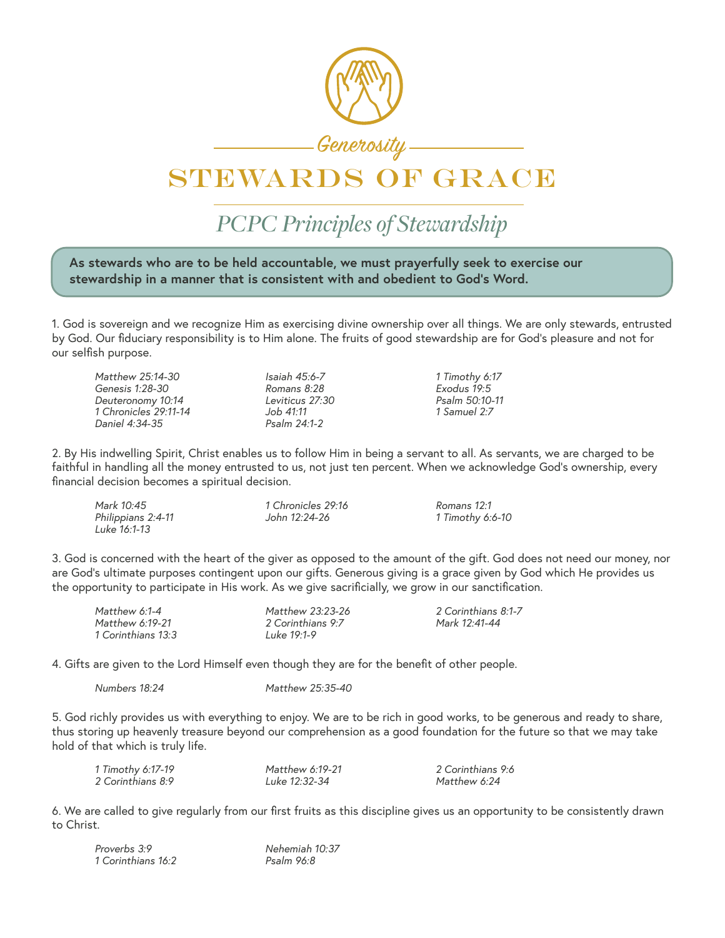

## STEWARDS OF GRACE

*PCPC Principles of Stewardship*

**As stewards who are to be held accountable, we must prayerfully seek to exercise our stewardship in a manner that is consistent with and obedient to God's Word.** 

1. God is sovereign and we recognize Him as exercising divine ownership over all things. We are only stewards, entrusted by God. Our fiduciary responsibility is to Him alone. The fruits of good stewardship are for God's pleasure and not for our selfish purpose.

> *Matthew 25:14-30 Isaiah 45:6-7 1 Timothy 6:17 Genesis 1:28-30 Romans 8:28 Exodus 19:5 Deuteronomy 10:14 Leviticus 27:30 Psalm 50:10-11 1 Chronicles 29:11-14 Job 41:11 1 Samuel 2:7*

| Matthew 25:14-30      | Isaiah 45:6-7              |
|-----------------------|----------------------------|
| Genesis 1:28-30       | Romans 8:28                |
| Deuteronomy 10:14     | Leviticus 27:30            |
| 1 Chronicles 29:11-14 | Job 41:11                  |
| Daniel 4:34-35        | $P_{\mathsf{Salm}} 24:1-2$ |

2. By His indwelling Spirit, Christ enables us to follow Him in being a servant to all. As servants, we are charged to be faithful in handling all the money entrusted to us, not just ten percent. When we acknowledge God's ownership, every financial decision becomes a spiritual decision.

| Mark 10:45         | 1 Chronicles 29:16 | Romans 12:1      |
|--------------------|--------------------|------------------|
| Philippians 2:4-11 | John 12:24-26      | 1 Timothy 6:6-10 |
| Luke 16:1-13       |                    |                  |

3. God is concerned with the heart of the giver as opposed to the amount of the gift. God does not need our money, nor are God's ultimate purposes contingent upon our gifts. Generous giving is a grace given by God which He provides us the opportunity to participate in His work. As we give sacrificially, we grow in our sanctification.

| Matthew 6:1-4      | Matthew 23:23-26   | 2 Corinthians 8:1-7 |
|--------------------|--------------------|---------------------|
| Matthew 6:19-21    | 2 Corinthians 9:7  | Mark 12:41-44       |
| 1 Corinthians 13:3 | <u>Luke 19:1-9</u> |                     |

4. Gifts are given to the Lord Himself even though they are for the benefit of other people.

*Numbers 18:24 Matthew 25:35-40*

5. God richly provides us with everything to enjoy. We are to be rich in good works, to be generous and ready to share, thus storing up heavenly treasure beyond our comprehension as a good foundation for the future so that we may take hold of that which is truly life.

| 1 Timothy 6:17-19 | Matthew 6:19-21 | 2 Corinthians 9:6 |
|-------------------|-----------------|-------------------|
| 2 Corinthians 8:9 | Luke 12:32-34   | Matthew 6:24      |

6. We are called to give regularly from our first fruits as this discipline gives us an opportunity to be consistently drawn to Christ.

| Proverbs 3:9       | Nehemiah 10:37 |
|--------------------|----------------|
| 1 Corinthians 16:2 | Psalm 96:8     |